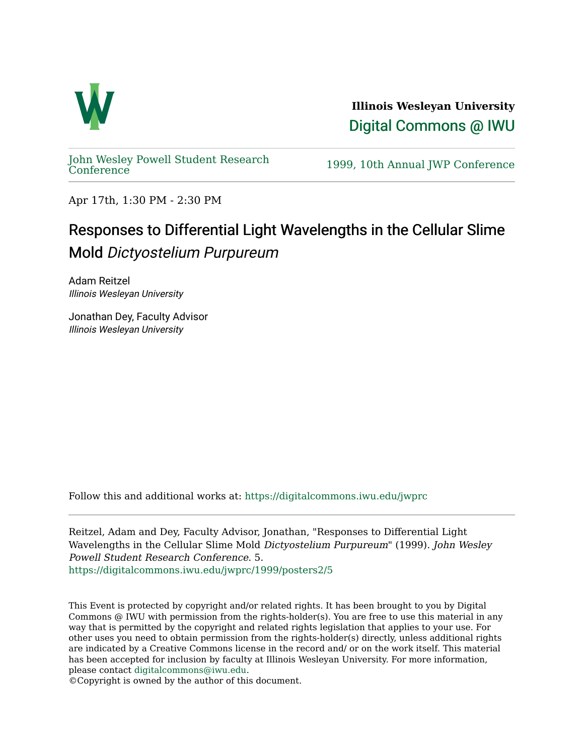

**Illinois Wesleyan University**  [Digital Commons @ IWU](https://digitalcommons.iwu.edu/) 

[John Wesley Powell Student Research](https://digitalcommons.iwu.edu/jwprc) 

1999, 10th Annual JWP [Conference](https://digitalcommons.iwu.edu/jwprc)

Apr 17th, 1:30 PM - 2:30 PM

## Responses to Differential Light Wavelengths in the Cellular Slime Mold Dictyostelium Purpureum

Adam Reitzel Illinois Wesleyan University

Jonathan Dey, Faculty Advisor Illinois Wesleyan University

Follow this and additional works at: [https://digitalcommons.iwu.edu/jwprc](https://digitalcommons.iwu.edu/jwprc?utm_source=digitalcommons.iwu.edu%2Fjwprc%2F1999%2Fposters2%2F5&utm_medium=PDF&utm_campaign=PDFCoverPages) 

Reitzel, Adam and Dey, Faculty Advisor, Jonathan, "Responses to Differential Light Wavelengths in the Cellular Slime Mold Dictyostelium Purpureum" (1999). John Wesley Powell Student Research Conference. 5. [https://digitalcommons.iwu.edu/jwprc/1999/posters2/5](https://digitalcommons.iwu.edu/jwprc/1999/posters2/5?utm_source=digitalcommons.iwu.edu%2Fjwprc%2F1999%2Fposters2%2F5&utm_medium=PDF&utm_campaign=PDFCoverPages)

This Event is protected by copyright and/or related rights. It has been brought to you by Digital Commons @ IWU with permission from the rights-holder(s). You are free to use this material in any way that is permitted by the copyright and related rights legislation that applies to your use. For other uses you need to obtain permission from the rights-holder(s) directly, unless additional rights are indicated by a Creative Commons license in the record and/ or on the work itself. This material has been accepted for inclusion by faculty at Illinois Wesleyan University. For more information, please contact [digitalcommons@iwu.edu.](mailto:digitalcommons@iwu.edu)

©Copyright is owned by the author of this document.